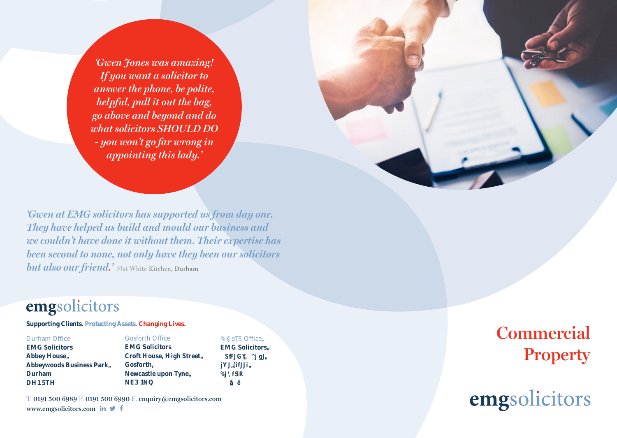'Gwen Jones was amazing! If you want a solicitor to answer the phone, be polite, helpful, pull it out the bag, go above and beyond and do what solicitors SHOULD DO - you won't go far wrong in *appointing this lady.* 

'Gwen at EMG solicitors has supported us from day one. They have helped us build and mould our business and we couldn't have done it without them. Their expertise has been second to none, not only have they been our solicitors **but also our friend.'** Flat White Kitchen, Durham

## emgsolicitors

Supporting Clients. Protecting Assets. Changing Lives.

**Durham Office** 

**EMG Solicitors** Abbey Housea Abbeywoods Business Parka Durham DH15TH

**EMG Solicitors** Croft House, High Streeta Gosforth, Newcastle upon Tynea NE31NO

**Gosforth Office** 

**K** ] q**b** Officeã **EMG Solicitorsã** SfJGY ^j gJã **iYJ#JJiã**  $\%$  \fsR  $ilde{a}$ 

T. 0191 500 6989 F. 0191 500 6990 E. enquiry@emgsolicitors.com www.emgsolicitors.com in  $\blacktriangleright$  f

**Commercial** Property

emgsolicitors